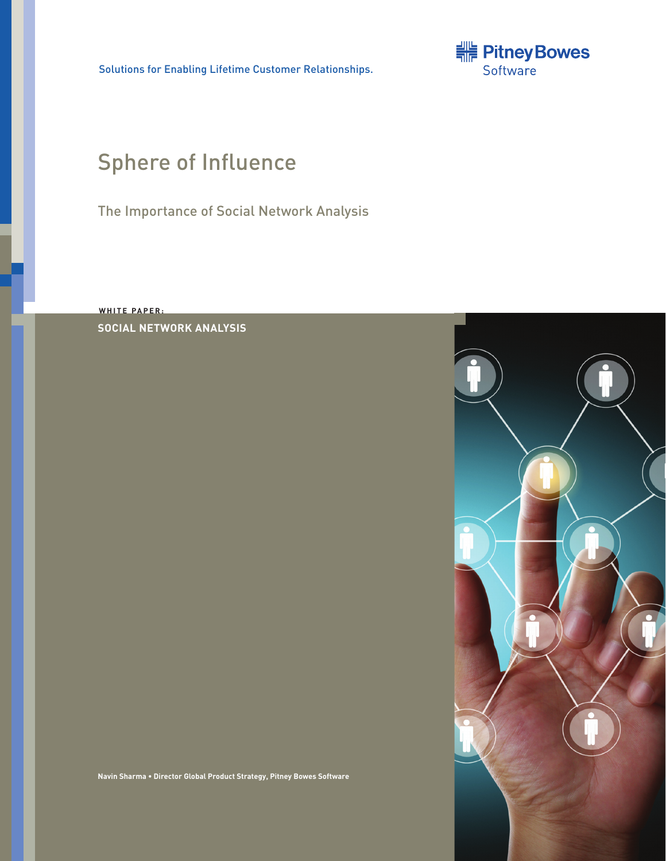Solutions for Enabling Lifetime Customer Relationships.



# Sphere of Influence

The Importance of Social Network Analysis

**W HITE P A PER: SOCIAL NETWORK ANALYSIS**

**Navin Sharma • Director Global Product Strategy, Pitney Bowes Software**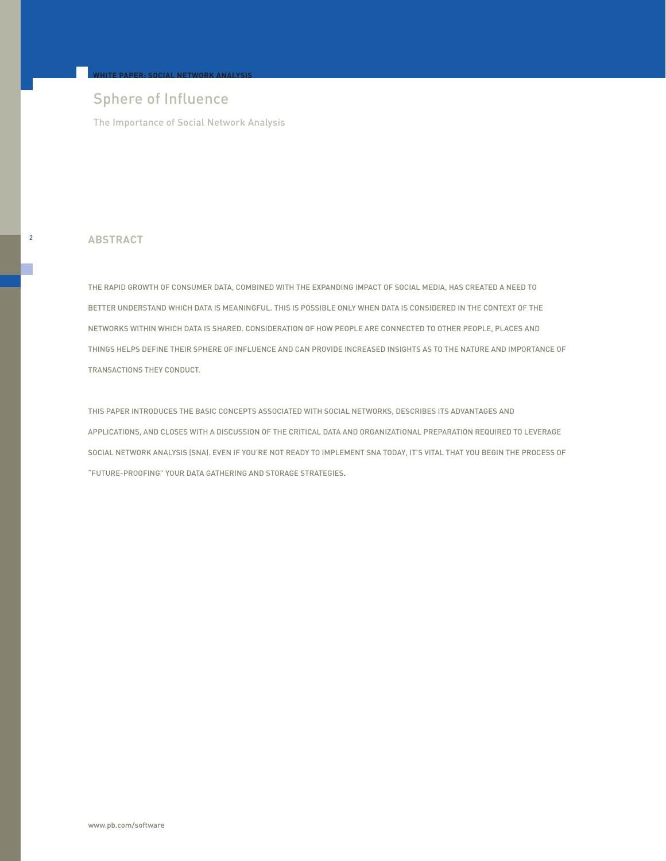## Sphere of Influence

**WHITE PAPER: SOCIAL NETWORK ANALYSIS**

The Importance of Social Network Analysis

## <sup>2</sup> **ABSTRACT**

THE RAPID GROWTH OF CONSUMER DATA, COMBINED WITH THE EXPANDING IMPACT OF SOCIAL MEDIA, HAS CREATED A NEED TO BETTER UNDERSTAND WHICH DATA IS MEANINGFUL. THIS IS POSSIBLE ONLY WHEN DATA IS CONSIDERED IN THE CONTEXT OF THE NETWORKS WITHIN WHICH DATA IS SHARED. CONSIDERATION OF HOW PEOPLE ARE CONNECTED TO OTHER PEOPLE, PLACES AND THINGS HELPS DEFINE THEIR SPHERE OF INFLUENCE AND CAN PROVIDE INCREASED INSIGHTS AS TO THE NATURE AND IMPORTANCE OF TRANSACTIONS THEY CONDUCT.

THIS PAPER INTRODUCES THE BASIC CONCEPTS ASSOCIATED WITH SOCIAL NETWORKS, DESCRIBES ITS ADVANTAGES AND APPLICATIONS, AND CLOSES WITH A DISCUSSION OF THE CRITICAL DATA AND ORGANIZATIONAL PREPARATION REQUIRED TO LEVERAGE SOCIAL NETWORK ANALYSIS (SNA). EVEN IF YOU'RE NOT READY TO IMPLEMENT SNA TODAY, IT'S VITAL THAT YOU BEGIN THE PROCESS OF "FUTURE-PROOFING" YOUR DATA GATHERING AND STORAGE STRATEGIES.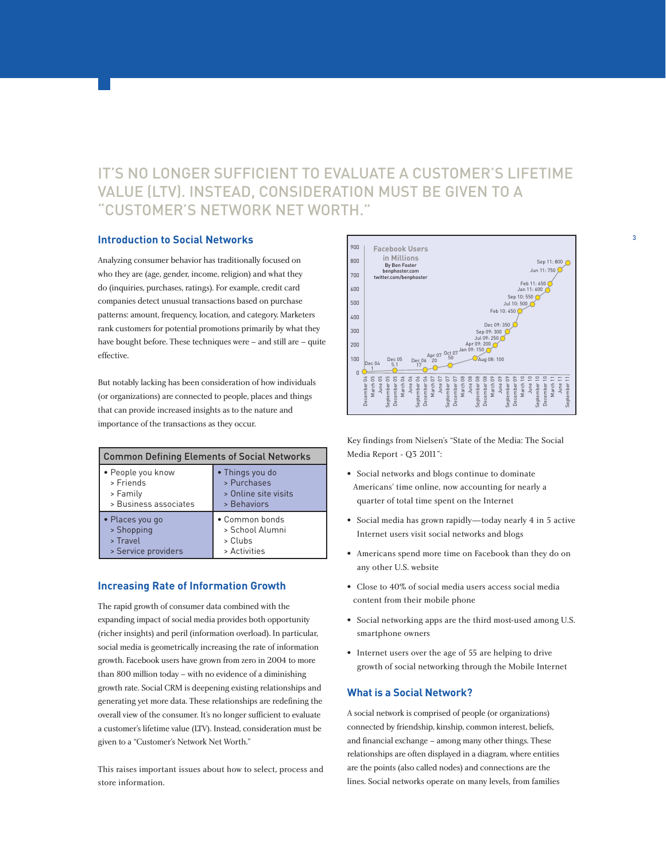## IT'S NO LONGER SUFFICIENT TO EVALUATE A CUSTOMER'S LIFETIME VALUE (LTV). INSTEAD, CONSIDERATION MUST BE GIVEN TO A "CUSTOMER'S NETWORK NET WORTH."

## **Introduction to Social Networks**

Analyzing consumer behavior has traditionally focused on who they are (age, gender, income, religion) and what they do (inquiries, purchases, ratings). For example, credit card companies detect unusual transactions based on purchase patterns: amount, frequency, location, and category. Marketers rank customers for potential promotions primarily by what they have bought before. These techniques were – and still are – quite effective.

But notably lacking has been consideration of how individuals (or organizations) are connected to people, places and things that can provide increased insights as to the nature and importance of the transactions as they occur.

| <b>Common Defining Elements of Social Networks</b> |                      |
|----------------------------------------------------|----------------------|
| • People you know                                  | • Things you do      |
| > Friends                                          | > Purchases          |
| > Family                                           | > Online site visits |
| > Business associates                              | > Behaviors          |
| • Places you go                                    | • Common bonds       |
| > Shopping                                         | > School Alumni      |
| > Travel                                           | > Clubs              |
| > Service providers                                | > Activities         |

## **Increasing Rate of Information Growth**

The rapid growth of consumer data combined with the expanding impact of social media provides both opportunity (richer insights) and peril (information overload). In particular, social media is geometrically increasing the rate of information growth. Facebook users have grown from zero in 2004 to more than 800 million today – with no evidence of a diminishing growth rate. Social CRM is deepening existing relationships and generating yet more data. These relationships are redefining the overall view of the consumer. It's no longer sufficient to evaluate a customer's lifetime value (LTV). Instead, consideration must be given to a "Customer's Network Net Worth."

This raises important issues about how to select, process and store information.



3

Key findings from Nielsen's "State of the Media: The Social Media Report - Q3 2011":

- Social networks and blogs continue to dominate Americans' time online, now accounting for nearly a quarter of total time spent on the Internet
- Social media has grown rapidly—today nearly 4 in 5 active Internet users visit social networks and blogs
- Americans spend more time on Facebook than they do on any other U.S. website
- Close to 40% of social media users access social media content from their mobile phone
- Social networking apps are the third most-used among U.S. smartphone owners
- Internet users over the age of 55 are helping to drive growth of social networking through the Mobile Internet

## **What is a Social Network?**

A social network is comprised of people (or organizations) connected by friendship, kinship, common interest, beliefs, and financial exchange – among many other things. These relationships are often displayed in a diagram, where entities are the points (also called nodes) and connections are the lines. Social networks operate on many levels, from families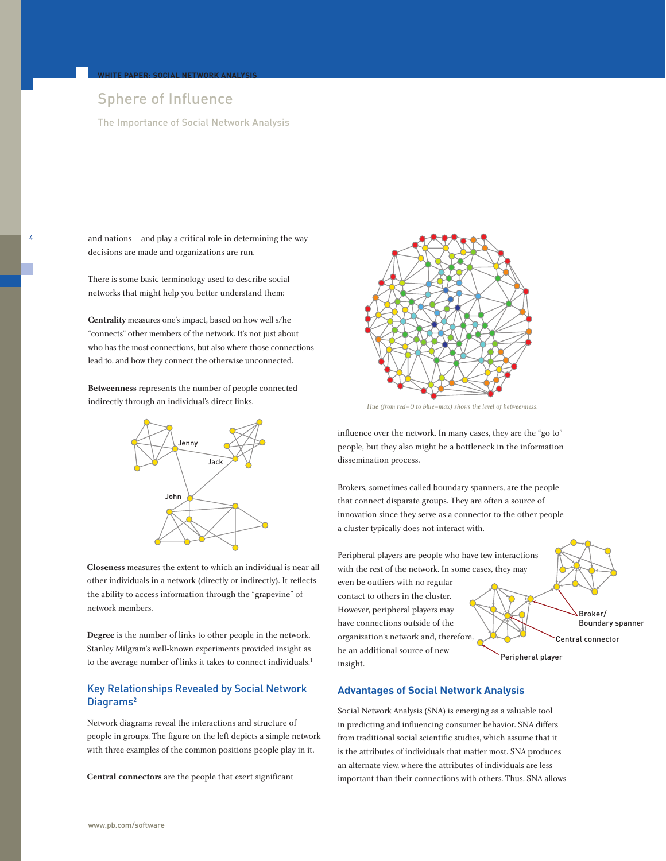## Sphere of Influence

**WHITE PAPER: SOCIAL NETWORK ANALYSIS**

4

The Importance of Social Network Analysis

and nations—and play a critical role in determining the way decisions are made and organizations are run.

There is some basic terminology used to describe social networks that might help you better understand them:

**Centrality** measures one's impact, based on how well s/he "connects" other members of the network. It's not just about who has the most connections, but also where those connections lead to, and how they connect the otherwise unconnected.

**Betweenness** represents the number of people connected indirectly through an individual's direct links.



**Closeness** measures the extent to which an individual is near all other individuals in a network (directly or indirectly). It reflects the ability to access information through the "grapevine" of network members.

**Degree** is the number of links to other people in the network. Stanley Milgram's well-known experiments provided insight as to the average number of links it takes to connect individuals.<sup>1</sup>

## Key Relationships Revealed by Social Network Diagrams<sup>2</sup>

Network diagrams reveal the interactions and structure of people in groups. The figure on the left depicts a simple network with three examples of the common positions people play in it.

**Central connectors** are the people that exert significant



*Hue (from red=0 to blue=max) shows the level of betweenness.*

influence over the network. In many cases, they are the "go to" people, but they also might be a bottleneck in the information dissemination process.

Brokers, sometimes called boundary spanners, are the people that connect disparate groups. They are often a source of innovation since they serve as a connector to the other people a cluster typically does not interact with.

Peripheral players are people who have few interactions with the rest of the network. In some cases, they may even be outliers with no regular contact to others in the cluster. However, peripheral players may have connections outside of the organization's network and, therefore,

be an additional source of new

insight.

Peripheral player

Broker/ Boundary spanner

Central connector

## **Advantages of Social Network Analysis**

Social Network Analysis (SNA) is emerging as a valuable tool in predicting and influencing consumer behavior. SNA differs from traditional social scientific studies, which assume that it is the attributes of individuals that matter most. SNA produces an alternate view, where the attributes of individuals are less important than their connections with others. Thus, SNA allows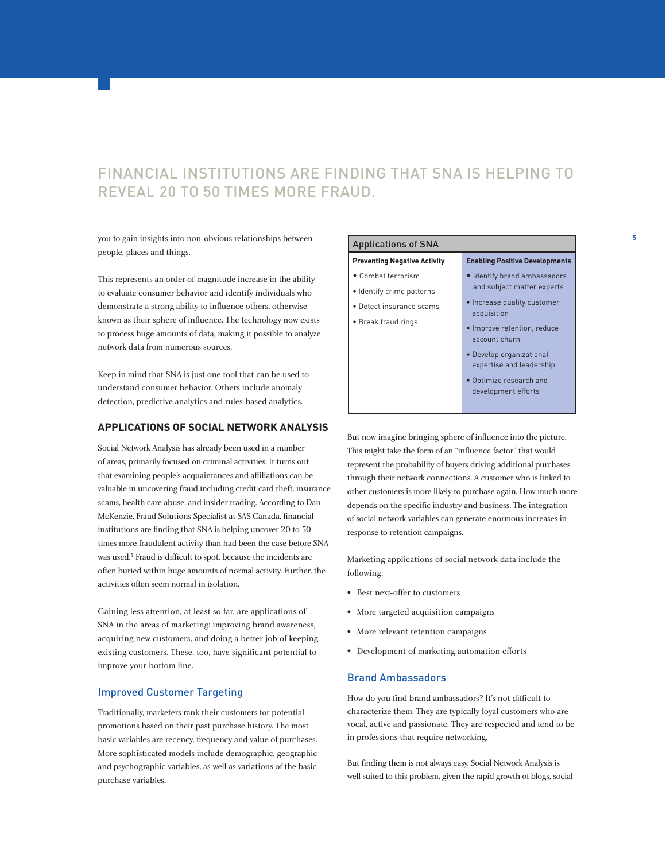## FINANCIAL INSTITUTIONS ARE FINDING THAT SNA IS HELPING TO REVEAL 20 TO 50 TIMES MORE FRAUD.

you to gain insights into non-obvious relationships between people, places and things.

This represents an order-of-magnitude increase in the ability to evaluate consumer behavior and identify individuals who demonstrate a strong ability to influence others, otherwise known as their sphere of influence. The technology now exists to process huge amounts of data, making it possible to analyze network data from numerous sources.

Keep in mind that SNA is just one tool that can be used to understand consumer behavior. Others include anomaly detection, predictive analytics and rules-based analytics.

## **APPLICATIONS OF SOCIAL NETWORK ANALYSIS**

Social Network Analysis has already been used in a number of areas, primarily focused on criminal activities. It turns out that examining people's acquaintances and affiliations can be valuable in uncovering fraud including credit card theft, insurance scams, health care abuse, and insider trading. According to Dan McKenzie, Fraud Solutions Specialist at SAS Canada, financial institutions are finding that SNA is helping uncover 20 to 50 times more fraudulent activity than had been the case before SNA was used.3 Fraud is difficult to spot, because the incidents are often buried within huge amounts of normal activity. Further, the activities often seem normal in isolation.

Gaining less attention, at least so far, are applications of SNA in the areas of marketing: improving brand awareness, acquiring new customers, and doing a better job of keeping existing customers. These, too, have significant potential to improve your bottom line.

### Improved Customer Targeting

Traditionally, marketers rank their customers for potential promotions based on their past purchase history. The most basic variables are recency, frequency and value of purchases. More sophisticated models include demographic, geographic and psychographic variables, as well as variations of the basic purchase variables.

| Applications of SNA |  |
|---------------------|--|
|---------------------|--|

#### **Preventing Negative Activity**

- Combat terrorism
- Identify crime patterns
- Detect insurance scams
- Break fraud rings
- acquisition • Improve retention, reduce account churn

**Enabling Positive Developments** • Identify brand ambassadors and subject matter experts • Increase quality customer

5

- Develop organizational expertise and leadership
- Optimize research and development efforts

But now imagine bringing sphere of influence into the picture. This might take the form of an "influence factor" that would represent the probability of buyers driving additional purchases through their network connections. A customer who is linked to other customers is more likely to purchase again. How much more depends on the specific industry and business. The integration of social network variables can generate enormous increases in response to retention campaigns.

Marketing applications of social network data include the following:

- Best next-offer to customers
- More targeted acquisition campaigns
- More relevant retention campaigns
- Development of marketing automation efforts

## Brand Ambassadors

How do you find brand ambassadors? It's not difficult to characterize them. They are typically loyal customers who are vocal, active and passionate. They are respected and tend to be in professions that require networking.

But finding them is not always easy. Social Network Analysis is well suited to this problem, given the rapid growth of blogs, social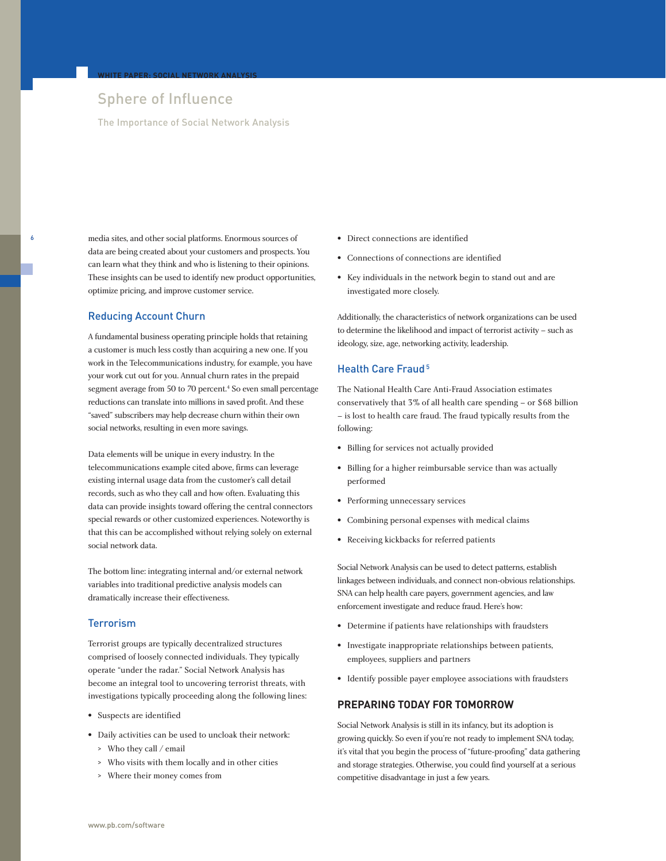## Sphere of Influence

**WHITE PAPER: SOCIAL NETWORK ANALYSIS**

The Importance of Social Network Analysis

media sites, and other social platforms. Enormous sources of data are being created about your customers and prospects. You can learn what they think and who is listening to their opinions. These insights can be used to identify new product opportunities, optimize pricing, and improve customer service.

## Reducing Account Churn

6

A fundamental business operating principle holds that retaining a customer is much less costly than acquiring a new one. If you work in the Telecommunications industry, for example, you have your work cut out for you. Annual churn rates in the prepaid segment average from 50 to 70 percent.<sup>4</sup> So even small percentage reductions can translate into millions in saved profit. And these "saved" subscribers may help decrease churn within their own social networks, resulting in even more savings.

Data elements will be unique in every industry. In the telecommunications example cited above, firms can leverage existing internal usage data from the customer's call detail records, such as who they call and how often. Evaluating this data can provide insights toward offering the central connectors special rewards or other customized experiences. Noteworthy is that this can be accomplished without relying solely on external social network data.

The bottom line: integrating internal and/or external network variables into traditional predictive analysis models can dramatically increase their effectiveness.

## **Terrorism**

Terrorist groups are typically decentralized structures comprised of loosely connected individuals. They typically operate "under the radar." Social Network Analysis has become an integral tool to uncovering terrorist threats, with investigations typically proceeding along the following lines:

- Suspects are identified
- Daily activities can be used to uncloak their network:
	- > Who they call / email
	- > Who visits with them locally and in other cities
	- > Where their money comes from
- Direct connections are identified
- Connections of connections are identified
- Key individuals in the network begin to stand out and are investigated more closely.

Additionally, the characteristics of network organizations can be used to determine the likelihood and impact of terrorist activity – such as ideology, size, age, networking activity, leadership.

## Health Care Fraud<sup>5</sup>

The National Health Care Anti-Fraud Association estimates conservatively that 3% of all health care spending – or \$68 billion – is lost to health care fraud. The fraud typically results from the following:

- Billing for services not actually provided
- Billing for a higher reimbursable service than was actually performed
- Performing unnecessary services
- Combining personal expenses with medical claims
- Receiving kickbacks for referred patients

Social Network Analysis can be used to detect patterns, establish linkages between individuals, and connect non-obvious relationships. SNA can help health care payers, government agencies, and law enforcement investigate and reduce fraud. Here's how:

- Determine if patients have relationships with fraudsters
- Investigate inappropriate relationships between patients, employees, suppliers and partners
- Identify possible payer employee associations with fraudsters

## **PREPARING TODAY FOR TOMORROW**

Social Network Analysis is still in its infancy, but its adoption is growing quickly. So even if you're not ready to implement SNA today, it's vital that you begin the process of "future-proofing" data gathering and storage strategies. Otherwise, you could find yourself at a serious competitive disadvantage in just a few years.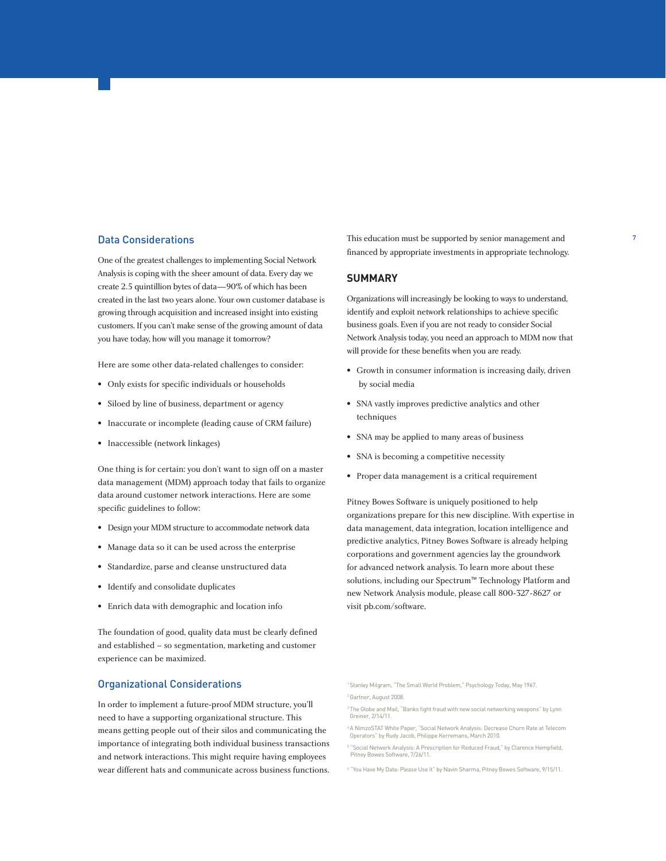### Data Considerations

One of the greatest challenges to implementing Social Network Analysis is coping with the sheer amount of data. Every day we create 2.5 quintillion bytes of data—90% of which has been created in the last two years alone. Your own customer database is growing through acquisition and increased insight into existing customers. If you can't make sense of the growing amount of data you have today, how will you manage it tomorrow?

Here are some other data-related challenges to consider:

- Only exists for specific individuals or households
- Siloed by line of business, department or agency
- Inaccurate or incomplete (leading cause of CRM failure)
- Inaccessible (network linkages)

One thing is for certain: you don't want to sign off on a master data management (MDM) approach today that fails to organize data around customer network interactions. Here are some specific guidelines to follow:

- Design your MDM structure to accommodate network data
- Manage data so it can be used across the enterprise
- Standardize, parse and cleanse unstructured data
- Identify and consolidate duplicates
- Enrich data with demographic and location info

The foundation of good, quality data must be clearly defined and established – so segmentation, marketing and customer experience can be maximized.

### Organizational Considerations

In order to implement a future-proof MDM structure, you'll need to have a supporting organizational structure. This means getting people out of their silos and communicating the importance of integrating both individual business transactions and network interactions. This might require having employees wear different hats and communicate across business functions. This education must be supported by senior management and financed by appropriate investments in appropriate technology. 7

### **SUMMARY**

Organizations will increasingly be looking to ways to understand, identify and exploit network relationships to achieve specific business goals. Even if you are not ready to consider Social Network Analysis today, you need an approach to MDM now that will provide for these benefits when you are ready.

- Growth in consumer information is increasing daily, driven by social media
- SNA vastly improves predictive analytics and other techniques
- SNA may be applied to many areas of business
- SNA is becoming a competitive necessity
- Proper data management is a critical requirement

Pitney Bowes Software is uniquely positioned to help organizations prepare for this new discipline. With expertise in data management, data integration, location intelligence and predictive analytics, Pitney Bowes Software is already helping corporations and government agencies lay the groundwork for advanced network analysis. To learn more about these solutions, including our Spectrum™ Technology Platform and new Network Analysis module, please call 800-327-8627 or visit pb.com/software.

1 Stanley Milgram, "The Small World Problem," Psychology Today, May 1967. 2 Gartner, August 2008.

- 3 The Globe and Mail, "Banks fight fraud with new social networking weapons" by Lynn Greiner, 2/14/11.
- 4 A NimzoSTAT White Paper, "Social Network Analysis: Decrease Churn Rate at Telecom Operators" by Rudy Jacob, Philippe Kerremans, March 2010.
- <sup>5</sup> "Social Network Analysis: A Prescription for Reduced Fraud," by Clarence Hempfield, Pitney Bowes Software, 7/26/11.
- <sup>6</sup> "You Have My Data: Please Use It" by Navin Sharma, Pitney Bowes Software, 9/15/11.